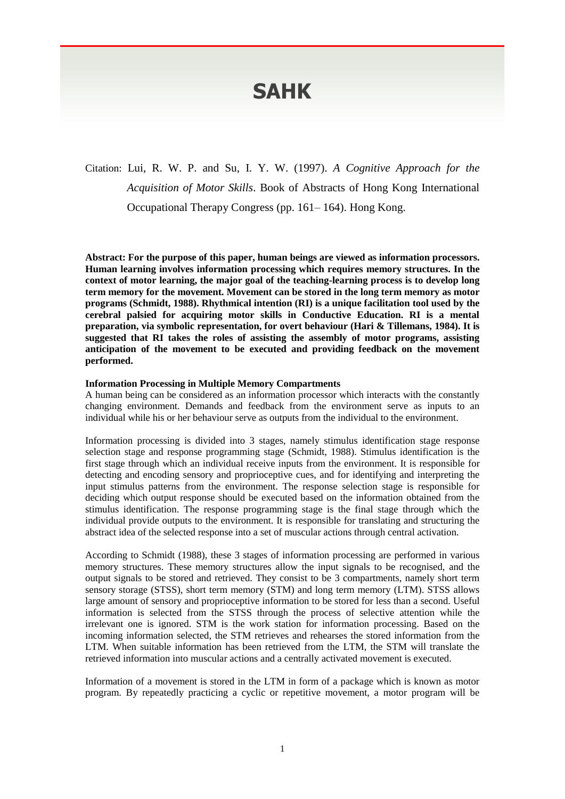# **SAHK**

Citation: Lui, R. W. P. and Su, I. Y. W. (1997). *A Cognitive Approach for the Acquisition of Motor Skills*. Book of Abstracts of Hong Kong International Occupational Therapy Congress (pp. 161– 164). Hong Kong.

**Abstract: For the purpose of this paper, human beings are viewed as information processors. Human learning involves information processing which requires memory structures. In the context of motor learning, the major goal of the teaching-learning process is to develop long term memory for the movement. Movement can be stored in the long term memory as motor programs (Schmidt, 1988). Rhythmical intention (RI) is a unique facilitation tool used by the cerebral palsied for acquiring motor skills in Conductive Education. RI is a mental preparation, via symbolic representation, for overt behaviour (Hari & Tillemans, 1984). It is suggested that RI takes the roles of assisting the assembly of motor programs, assisting anticipation of the movement to be executed and providing feedback on the movement performed.**

## **Information Processing in Multiple Memory Compartments**

A human being can be considered as an information processor which interacts with the constantly changing environment. Demands and feedback from the environment serve as inputs to an individual while his or her behaviour serve as outputs from the individual to the environment.

Information processing is divided into 3 stages, namely stimulus identification stage response selection stage and response programming stage (Schmidt, 1988). Stimulus identification is the first stage through which an individual receive inputs from the environment. It is responsible for detecting and encoding sensory and proprioceptive cues, and for identifying and interpreting the input stimulus patterns from the environment. The response selection stage is responsible for deciding which output response should be executed based on the information obtained from the stimulus identification. The response programming stage is the final stage through which the individual provide outputs to the environment. It is responsible for translating and structuring the abstract idea of the selected response into a set of muscular actions through central activation.

According to Schmidt (1988), these 3 stages of information processing are performed in various memory structures. These memory structures allow the input signals to be recognised, and the output signals to be stored and retrieved. They consist to be 3 compartments, namely short term sensory storage (STSS), short term memory (STM) and long term memory (LTM). STSS allows large amount of sensory and proprioceptive information to be stored for less than a second. Useful information is selected from the STSS through the process of selective attention while the irrelevant one is ignored. STM is the work station for information processing. Based on the incoming information selected, the STM retrieves and rehearses the stored information from the LTM. When suitable information has been retrieved from the LTM, the STM will translate the retrieved information into muscular actions and a centrally activated movement is executed.

Information of a movement is stored in the LTM in form of a package which is known as motor program. By repeatedly practicing a cyclic or repetitive movement, a motor program will be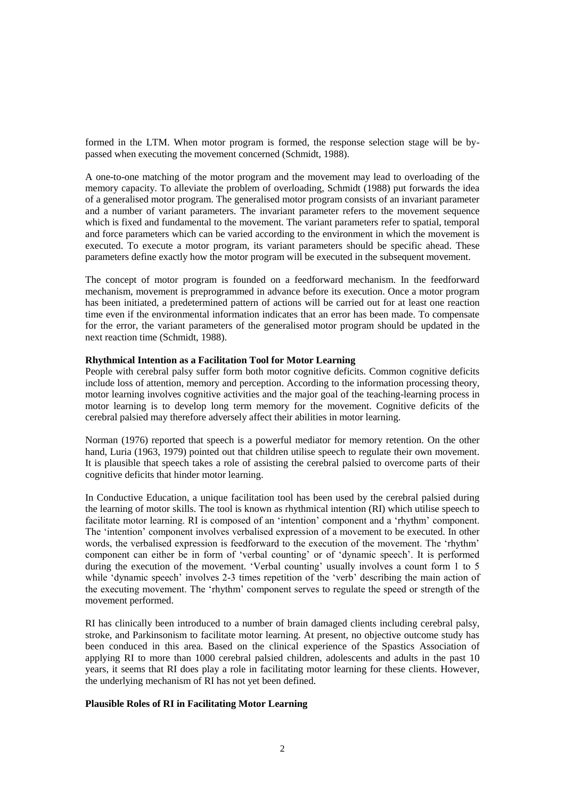formed in the LTM. When motor program is formed, the response selection stage will be bypassed when executing the movement concerned (Schmidt, 1988).

A one-to-one matching of the motor program and the movement may lead to overloading of the memory capacity. To alleviate the problem of overloading, Schmidt (1988) put forwards the idea of a generalised motor program. The generalised motor program consists of an invariant parameter and a number of variant parameters. The invariant parameter refers to the movement sequence which is fixed and fundamental to the movement. The variant parameters refer to spatial, temporal and force parameters which can be varied according to the environment in which the movement is executed. To execute a motor program, its variant parameters should be specific ahead. These parameters define exactly how the motor program will be executed in the subsequent movement.

The concept of motor program is founded on a feedforward mechanism. In the feedforward mechanism, movement is preprogrammed in advance before its execution. Once a motor program has been initiated, a predetermined pattern of actions will be carried out for at least one reaction time even if the environmental information indicates that an error has been made. To compensate for the error, the variant parameters of the generalised motor program should be updated in the next reaction time (Schmidt, 1988).

## **Rhythmical Intention as a Facilitation Tool for Motor Learning**

People with cerebral palsy suffer form both motor cognitive deficits. Common cognitive deficits include loss of attention, memory and perception. According to the information processing theory, motor learning involves cognitive activities and the major goal of the teaching-learning process in motor learning is to develop long term memory for the movement. Cognitive deficits of the cerebral palsied may therefore adversely affect their abilities in motor learning.

Norman (1976) reported that speech is a powerful mediator for memory retention. On the other hand, Luria (1963, 1979) pointed out that children utilise speech to regulate their own movement. It is plausible that speech takes a role of assisting the cerebral palsied to overcome parts of their cognitive deficits that hinder motor learning.

In Conductive Education, a unique facilitation tool has been used by the cerebral palsied during the learning of motor skills. The tool is known as rhythmical intention (RI) which utilise speech to facilitate motor learning. RI is composed of an 'intention' component and a 'rhythm' component. The 'intention' component involves verbalised expression of a movement to be executed. In other words, the verbalised expression is feedforward to the execution of the movement. The 'rhythm' component can either be in form of 'verbal counting' or of 'dynamic speech'. It is performed during the execution of the movement. 'Verbal counting' usually involves a count form 1 to 5 while 'dynamic speech' involves 2-3 times repetition of the 'verb' describing the main action of the executing movement. The 'rhythm' component serves to regulate the speed or strength of the movement performed.

RI has clinically been introduced to a number of brain damaged clients including cerebral palsy, stroke, and Parkinsonism to facilitate motor learning. At present, no objective outcome study has been conduced in this area. Based on the clinical experience of the Spastics Association of applying RI to more than 1000 cerebral palsied children, adolescents and adults in the past 10 years, it seems that RI does play a role in facilitating motor learning for these clients. However, the underlying mechanism of RI has not yet been defined.

# **Plausible Roles of RI in Facilitating Motor Learning**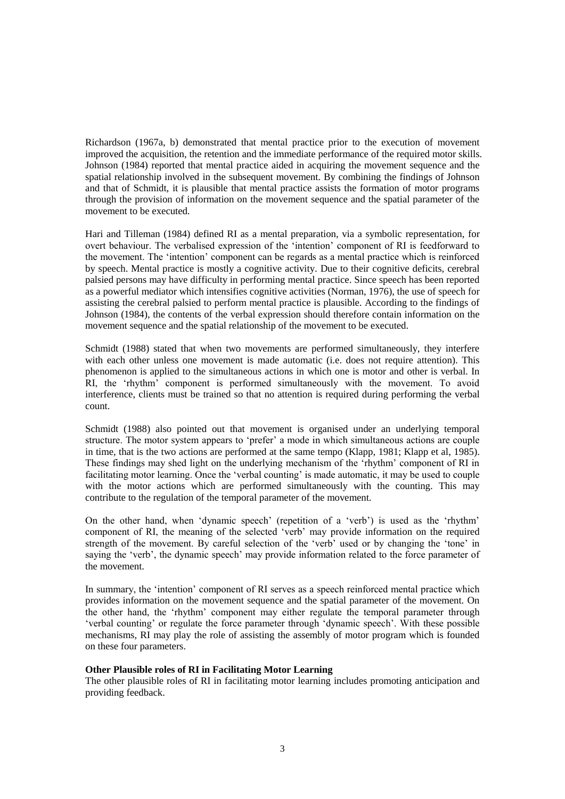Richardson (1967a, b) demonstrated that mental practice prior to the execution of movement improved the acquisition, the retention and the immediate performance of the required motor skills. Johnson (1984) reported that mental practice aided in acquiring the movement sequence and the spatial relationship involved in the subsequent movement. By combining the findings of Johnson and that of Schmidt, it is plausible that mental practice assists the formation of motor programs through the provision of information on the movement sequence and the spatial parameter of the movement to be executed.

Hari and Tilleman (1984) defined RI as a mental preparation, via a symbolic representation, for overt behaviour. The verbalised expression of the 'intention' component of RI is feedforward to the movement. The 'intention' component can be regards as a mental practice which is reinforced by speech. Mental practice is mostly a cognitive activity. Due to their cognitive deficits, cerebral palsied persons may have difficulty in performing mental practice. Since speech has been reported as a powerful mediator which intensifies cognitive activities (Norman, 1976), the use of speech for assisting the cerebral palsied to perform mental practice is plausible. According to the findings of Johnson (1984), the contents of the verbal expression should therefore contain information on the movement sequence and the spatial relationship of the movement to be executed.

Schmidt (1988) stated that when two movements are performed simultaneously, they interfere with each other unless one movement is made automatic (i.e. does not require attention). This phenomenon is applied to the simultaneous actions in which one is motor and other is verbal. In RI, the 'rhythm' component is performed simultaneously with the movement. To avoid interference, clients must be trained so that no attention is required during performing the verbal count.

Schmidt (1988) also pointed out that movement is organised under an underlying temporal structure. The motor system appears to 'prefer' a mode in which simultaneous actions are couple in time, that is the two actions are performed at the same tempo (Klapp, 1981; Klapp et al, 1985). These findings may shed light on the underlying mechanism of the 'rhythm' component of RI in facilitating motor learning. Once the 'verbal counting' is made automatic, it may be used to couple with the motor actions which are performed simultaneously with the counting. This may contribute to the regulation of the temporal parameter of the movement.

On the other hand, when 'dynamic speech' (repetition of a 'verb') is used as the 'rhythm' component of RI, the meaning of the selected 'verb' may provide information on the required strength of the movement. By careful selection of the 'verb' used or by changing the 'tone' in saying the 'verb', the dynamic speech' may provide information related to the force parameter of the movement.

In summary, the 'intention' component of RI serves as a speech reinforced mental practice which provides information on the movement sequence and the spatial parameter of the movement. On the other hand, the 'rhythm' component may either regulate the temporal parameter through 'verbal counting' or regulate the force parameter through 'dynamic speech'. With these possible mechanisms, RI may play the role of assisting the assembly of motor program which is founded on these four parameters.

# **Other Plausible roles of RI in Facilitating Motor Learning**

The other plausible roles of RI in facilitating motor learning includes promoting anticipation and providing feedback.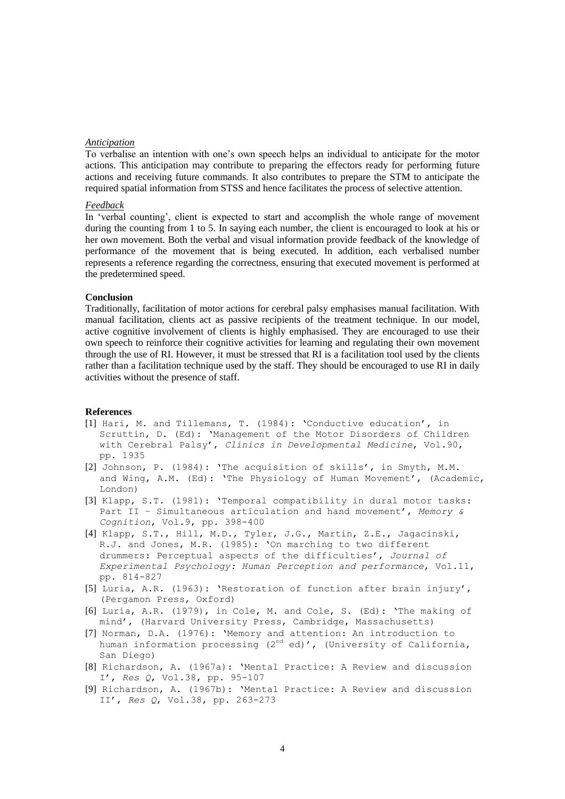### *Anticipation*

To verbalise an intention with one's own speech helps an individual to anticipate for the motor actions. This anticipation may contribute to preparing the effectors ready for performing future actions and receiving future commands. It also contributes to prepare the STM to anticipate the required spatial information from STSS and hence facilitates the process of selective attention.

### *Feedback*

In 'verbal counting', client is expected to start and accomplish the whole range of movement during the counting from 1 to 5. In saying each number, the client is encouraged to look at his or her own movement. Both the verbal and visual information provide feedback of the knowledge of performance of the movement that is being executed. In addition, each verbalised number represents a reference regarding the correctness, ensuring that executed movement is performed at the predetermined speed.

### **Conclusion**

Traditionally, facilitation of motor actions for cerebral palsy emphasises manual facilitation. With manual facilitation, clients act as passive recipients of the treatment technique. In our model, active cognitive involvement of clients is highly emphasised. They are encouraged to use their own speech to reinforce their cognitive activities for learning and regulating their own movement through the use of RI. However, it must be stressed that RI is a facilitation tool used by the clients rather than a facilitation technique used by the staff. They should be encouraged to use RI in daily activities without the presence of staff.

## **References**

- [1] Hari, M. and Tillemans, T. (1984): 'Conductive education', in Scruttin, D. (Ed): 'Management of the Motor Disorders of Children with Cerebral Palsy', *Clinics in Developmental Medicine*, Vol.90, pp. 1935
- [2] Johnson, P. (1984): 'The acquisition of skills', in Smyth, M.M. and Wing, A.M. (Ed): 'The Physiology of Human Movement', (Academic, London)
- [3] Klapp, S.T. (1981): 'Temporal compatibility in dural motor tasks: Part II – Simultaneous articulation and hand movement', *Memory & Cognition*, Vol.9, pp. 398-400
- [4] Klapp, S.T., Hill, M.D., Tyler, J.G., Martin, Z.E., Jagacinski, R.J. and Jones, M.R. (1985): 'On marching to two different drummers: Perceptual aspects of the difficulties', *Journal of Experimental Psychology: Human Perception and performance*, Vol.11, pp. 814-827
- [5] Luria, A.R. (1963): 'Restoration of function after brain injury', (Pergamon Press, Oxford)
- [6] Luria, A.R. (1979), in Cole, M. and Cole, S. (Ed): 'The making of mind', (Harvard University Press, Cambridge, Massachusetts)
- [7] Norman, D.A. (1976): 'Memory and attention: An introduction to human information processing (2<sup>nd</sup> ed)', (University of California, San Diego)
- [8] Richardson, A. (1967a): 'Mental Practice: A Review and discussion I', *Res Q*, Vol.38, pp. 95-107
- [9] Richardson, A. (1967b): 'Mental Practice: A Review and discussion II', *Res Q*, Vol.38, pp. 263-273